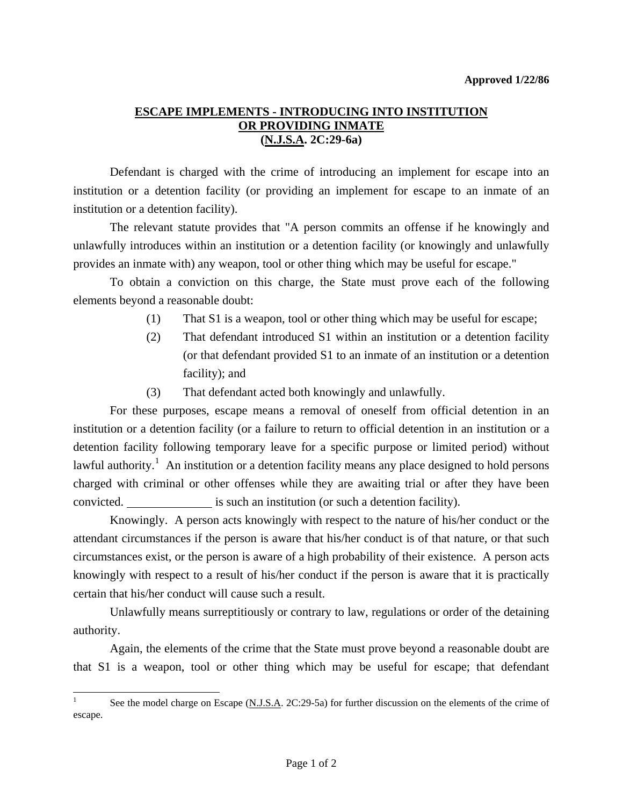## **ESCAPE IMPLEMENTS - INTRODUCING INTO INSTITUTION OR PROVIDING INMATE (N.J.S.A. 2C:29-6a)**

 Defendant is charged with the crime of introducing an implement for escape into an institution or a detention facility (or providing an implement for escape to an inmate of an institution or a detention facility).

The relevant statute provides that "A person commits an offense if he knowingly and unlawfully introduces within an institution or a detention facility (or knowingly and unlawfully provides an inmate with) any weapon, tool or other thing which may be useful for escape."

 To obtain a conviction on this charge, the State must prove each of the following elements beyond a reasonable doubt:

- (1) That S1 is a weapon, tool or other thing which may be useful for escape;
- (2) That defendant introduced S1 within an institution or a detention facility (or that defendant provided S1 to an inmate of an institution or a detention facility); and
- (3) That defendant acted both knowingly and unlawfully.

 For these purposes, escape means a removal of oneself from official detention in an institution or a detention facility (or a failure to return to official detention in an institution or a detention facility following temporary leave for a specific purpose or limited period) without lawful authority.<sup>[1](#page-0-0)</sup> An institution or a detention facility means any place designed to hold persons charged with criminal or other offenses while they are awaiting trial or after they have been convicted. is such an institution (or such a detention facility).

 Knowingly. A person acts knowingly with respect to the nature of his/her conduct or the attendant circumstances if the person is aware that his/her conduct is of that nature, or that such circumstances exist, or the person is aware of a high probability of their existence. A person acts knowingly with respect to a result of his/her conduct if the person is aware that it is practically certain that his/her conduct will cause such a result.

 Unlawfully means surreptitiously or contrary to law, regulations or order of the detaining authority.

<span id="page-0-1"></span> Again, the elements of the crime that the State must prove beyond a reasonable doubt are that S1 is a weapon, tool or other thing which may be useful for escape; that defendant

l

<span id="page-0-0"></span><sup>1</sup> See the model charge on Escape (N.J.S.A. 2C:29-5a) for further discussion on the elements of the crime of escape.